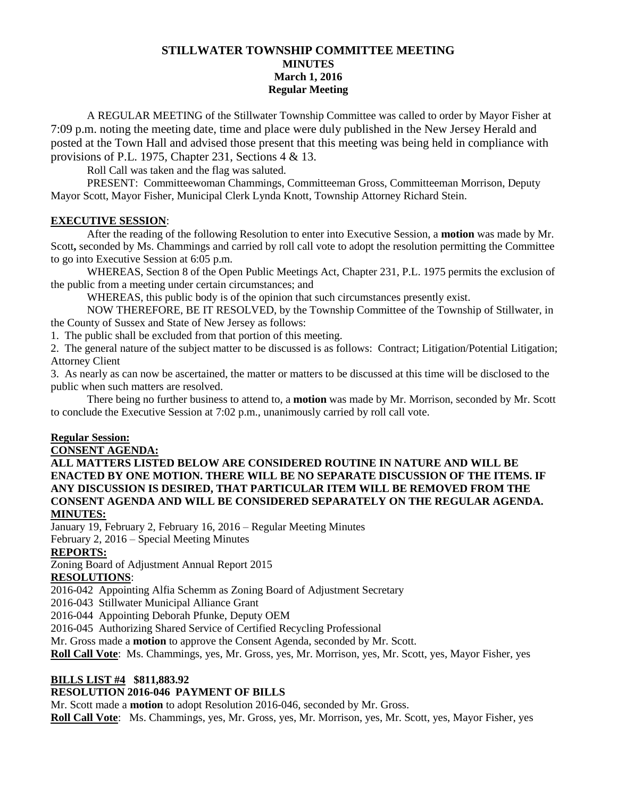# **STILLWATER TOWNSHIP COMMITTEE MEETING MINUTES March 1, 2016 Regular Meeting**

A REGULAR MEETING of the Stillwater Township Committee was called to order by Mayor Fisher at 7:09 p.m. noting the meeting date, time and place were duly published in the New Jersey Herald and posted at the Town Hall and advised those present that this meeting was being held in compliance with provisions of P.L. 1975, Chapter 231, Sections 4 & 13.

Roll Call was taken and the flag was saluted.

PRESENT: Committeewoman Chammings, Committeeman Gross, Committeeman Morrison, Deputy Mayor Scott, Mayor Fisher, Municipal Clerk Lynda Knott, Township Attorney Richard Stein.

## **EXECUTIVE SESSION**:

After the reading of the following Resolution to enter into Executive Session, a **motion** was made by Mr. Scott**,** seconded by Ms. Chammings and carried by roll call vote to adopt the resolution permitting the Committee to go into Executive Session at 6:05 p.m.

WHEREAS, Section 8 of the Open Public Meetings Act, Chapter 231, P.L. 1975 permits the exclusion of the public from a meeting under certain circumstances; and

WHEREAS, this public body is of the opinion that such circumstances presently exist.

NOW THEREFORE, BE IT RESOLVED, by the Township Committee of the Township of Stillwater, in the County of Sussex and State of New Jersey as follows:

1. The public shall be excluded from that portion of this meeting.

2. The general nature of the subject matter to be discussed is as follows: Contract; Litigation/Potential Litigation; Attorney Client

3. As nearly as can now be ascertained, the matter or matters to be discussed at this time will be disclosed to the public when such matters are resolved.

There being no further business to attend to, a **motion** was made by Mr. Morrison, seconded by Mr. Scott to conclude the Executive Session at 7:02 p.m., unanimously carried by roll call vote.

### **Regular Session:**

### **CONSENT AGENDA:**

**ALL MATTERS LISTED BELOW ARE CONSIDERED ROUTINE IN NATURE AND WILL BE ENACTED BY ONE MOTION. THERE WILL BE NO SEPARATE DISCUSSION OF THE ITEMS. IF ANY DISCUSSION IS DESIRED, THAT PARTICULAR ITEM WILL BE REMOVED FROM THE CONSENT AGENDA AND WILL BE CONSIDERED SEPARATELY ON THE REGULAR AGENDA. MINUTES:**

January 19, February 2, February 16, 2016 – Regular Meeting Minutes February 2, 2016 – Special Meeting Minutes

# **REPORTS:**

Zoning Board of Adjustment Annual Report 2015

# **RESOLUTIONS**:

2016-042 Appointing Alfia Schemm as Zoning Board of Adjustment Secretary

2016-043 Stillwater Municipal Alliance Grant

2016-044 Appointing Deborah Pfunke, Deputy OEM

2016-045 Authorizing Shared Service of Certified Recycling Professional

Mr. Gross made a **motion** to approve the Consent Agenda, seconded by Mr. Scott.

**Roll Call Vote**: Ms. Chammings, yes, Mr. Gross, yes, Mr. Morrison, yes, Mr. Scott, yes, Mayor Fisher, yes

### **BILLS LIST #4 \$811,883.92**

# **RESOLUTION 2016-046 PAYMENT OF BILLS**

Mr. Scott made a **motion** to adopt Resolution 2016-046, seconded by Mr. Gross.

**Roll Call Vote**: Ms. Chammings, yes, Mr. Gross, yes, Mr. Morrison, yes, Mr. Scott, yes, Mayor Fisher, yes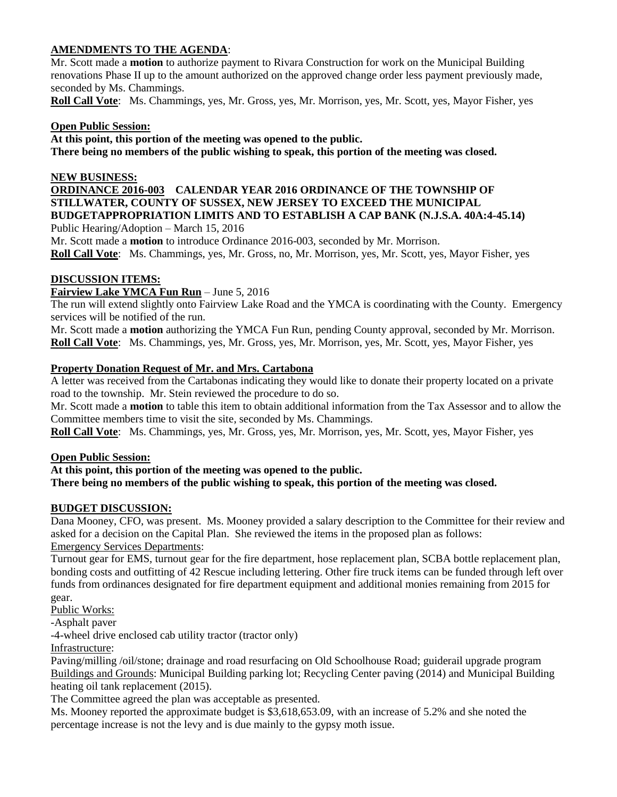# **AMENDMENTS TO THE AGENDA**:

Mr. Scott made a **motion** to authorize payment to Rivara Construction for work on the Municipal Building renovations Phase II up to the amount authorized on the approved change order less payment previously made, seconded by Ms. Chammings.

**Roll Call Vote**: Ms. Chammings, yes, Mr. Gross, yes, Mr. Morrison, yes, Mr. Scott, yes, Mayor Fisher, yes

## **Open Public Session:**

**At this point, this portion of the meeting was opened to the public. There being no members of the public wishing to speak, this portion of the meeting was closed.**

## **NEW BUSINESS:**

# **ORDINANCE 2016-003 CALENDAR YEAR 2016 ORDINANCE OF THE TOWNSHIP OF STILLWATER, COUNTY OF SUSSEX, NEW JERSEY TO EXCEED THE MUNICIPAL BUDGETAPPROPRIATION LIMITS AND TO ESTABLISH A CAP BANK (N.J.S.A. 40A:4-45.14)**

Public Hearing/Adoption – March 15, 2016

Mr. Scott made a **motion** to introduce Ordinance 2016-003, seconded by Mr. Morrison.

**Roll Call Vote**: Ms. Chammings, yes, Mr. Gross, no, Mr. Morrison, yes, Mr. Scott, yes, Mayor Fisher, yes

# **DISCUSSION ITEMS:**

# **Fairview Lake YMCA Fun Run** – June 5, 2016

The run will extend slightly onto Fairview Lake Road and the YMCA is coordinating with the County. Emergency services will be notified of the run.

Mr. Scott made a **motion** authorizing the YMCA Fun Run, pending County approval, seconded by Mr. Morrison. **Roll Call Vote**: Ms. Chammings, yes, Mr. Gross, yes, Mr. Morrison, yes, Mr. Scott, yes, Mayor Fisher, yes

## **Property Donation Request of Mr. and Mrs. Cartabona**

A letter was received from the Cartabonas indicating they would like to donate their property located on a private road to the township. Mr. Stein reviewed the procedure to do so.

Mr. Scott made a **motion** to table this item to obtain additional information from the Tax Assessor and to allow the Committee members time to visit the site, seconded by Ms. Chammings.

**Roll Call Vote**: Ms. Chammings, yes, Mr. Gross, yes, Mr. Morrison, yes, Mr. Scott, yes, Mayor Fisher, yes

### **Open Public Session:**

**At this point, this portion of the meeting was opened to the public. There being no members of the public wishing to speak, this portion of the meeting was closed.**

### **BUDGET DISCUSSION:**

Dana Mooney, CFO, was present. Ms. Mooney provided a salary description to the Committee for their review and asked for a decision on the Capital Plan. She reviewed the items in the proposed plan as follows: Emergency Services Departments:

Turnout gear for EMS, turnout gear for the fire department, hose replacement plan, SCBA bottle replacement plan, bonding costs and outfitting of 42 Rescue including lettering. Other fire truck items can be funded through left over funds from ordinances designated for fire department equipment and additional monies remaining from 2015 for gear.

Public Works:

-Asphalt paver

-4-wheel drive enclosed cab utility tractor (tractor only)

Infrastructure:

Paving/milling /oil/stone; drainage and road resurfacing on Old Schoolhouse Road; guiderail upgrade program Buildings and Grounds: Municipal Building parking lot; Recycling Center paving (2014) and Municipal Building heating oil tank replacement (2015).

The Committee agreed the plan was acceptable as presented.

Ms. Mooney reported the approximate budget is \$3,618,653.09, with an increase of 5.2% and she noted the percentage increase is not the levy and is due mainly to the gypsy moth issue.